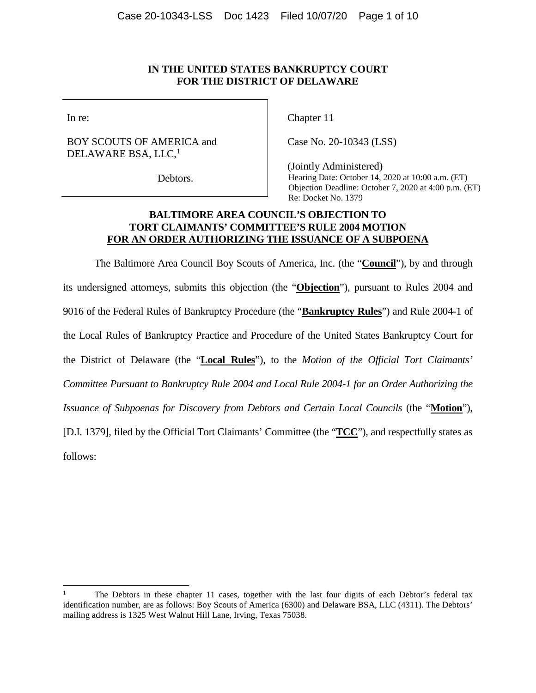## **IN THE UNITED STATES BANKRUPTCY COURT FOR THE DISTRICT OF DELAWARE**

In re:

BOY SCOUTS OF AMERICA and DELAWARE BSA, LLC,<sup>1</sup>

Debtors.

Chapter 11

Case No. 20-10343 (LSS)

(Jointly Administered) Hearing Date: October 14, 2020 at 10:00 a.m. (ET) Objection Deadline: October 7, 2020 at 4:00 p.m. (ET) Re: Docket No. 1379

## **BALTIMORE AREA COUNCIL'S OBJECTION TO TORT CLAIMANTS' COMMITTEE'S RULE 2004 MOTION FOR AN ORDER AUTHORIZING THE ISSUANCE OF A SUBPOENA**

The Baltimore Area Council Boy Scouts of America, Inc. (the "**Council**"), by and through its undersigned attorneys, submits this objection (the "**Objection**"), pursuant to Rules 2004 and 9016 of the Federal Rules of Bankruptcy Procedure (the "**Bankruptcy Rules**") and Rule 2004-1 of the Local Rules of Bankruptcy Practice and Procedure of the United States Bankruptcy Court for the District of Delaware (the "**Local Rules**"), to the *Motion of the Official Tort Claimants' Committee Pursuant to Bankruptcy Rule 2004 and Local Rule 2004-1 for an Order Authorizing the Issuance of Subpoenas for Discovery from Debtors and Certain Local Councils (the "Motion"),* [D.I. 1379], filed by the Official Tort Claimants' Committee (the "**TCC**"), and respectfully states as follows:

<sup>1</sup> The Debtors in these chapter 11 cases, together with the last four digits of each Debtor's federal tax identification number, are as follows: Boy Scouts of America (6300) and Delaware BSA, LLC (4311). The Debtors' mailing address is 1325 West Walnut Hill Lane, Irving, Texas 75038.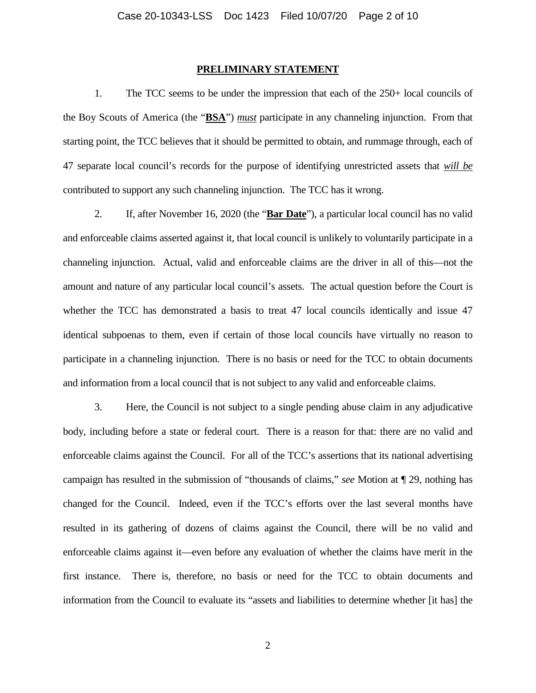#### **PRELIMINARY STATEMENT**

1. The TCC seems to be under the impression that each of the 250+ local councils of the Boy Scouts of America (the "**BSA**") *must* participate in any channeling injunction. From that starting point, the TCC believes that it should be permitted to obtain, and rummage through, each of 47 separate local council's records for the purpose of identifying unrestricted assets that *will be* contributed to support any such channeling injunction. The TCC has it wrong.

2. If, after November 16, 2020 (the "**Bar Date**"), a particular local council has no valid and enforceable claims asserted against it, that local council is unlikely to voluntarily participate in a channeling injunction. Actual, valid and enforceable claims are the driver in all of this—not the amount and nature of any particular local council's assets. The actual question before the Court is whether the TCC has demonstrated a basis to treat 47 local councils identically and issue 47 identical subpoenas to them, even if certain of those local councils have virtually no reason to participate in a channeling injunction. There is no basis or need for the TCC to obtain documents and information from a local council that is not subject to any valid and enforceable claims.

3. Here, the Council is not subject to a single pending abuse claim in any adjudicative body, including before a state or federal court. There is a reason for that: there are no valid and enforceable claims against the Council. For all of the TCC's assertions that its national advertising campaign has resulted in the submission of "thousands of claims," *see* Motion at ¶ 29, nothing has changed for the Council. Indeed, even if the TCC's efforts over the last several months have resulted in its gathering of dozens of claims against the Council, there will be no valid and enforceable claims against it—even before any evaluation of whether the claims have merit in the first instance. There is, therefore, no basis or need for the TCC to obtain documents and information from the Council to evaluate its "assets and liabilities to determine whether [it has] the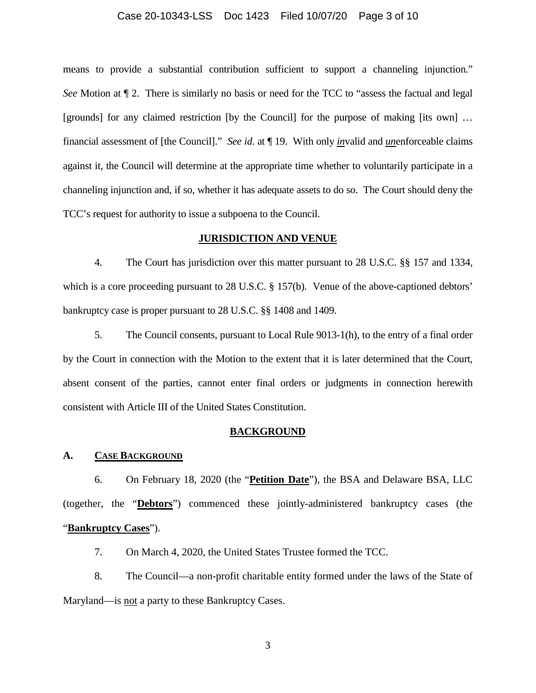### Case 20-10343-LSS Doc 1423 Filed 10/07/20 Page 3 of 10

means to provide a substantial contribution sufficient to support a channeling injunction." *See* Motion at  $\P$  2. There is similarly no basis or need for the TCC to "assess the factual and legal [grounds] for any claimed restriction [by the Council] for the purpose of making [its own] … financial assessment of [the Council]." *See id*. at ¶ 19. With only *in*valid and *un*enforceable claims against it, the Council will determine at the appropriate time whether to voluntarily participate in a channeling injunction and, if so, whether it has adequate assets to do so. The Court should deny the TCC's request for authority to issue a subpoena to the Council.

### **JURISDICTION AND VENUE**

4. The Court has jurisdiction over this matter pursuant to 28 U.S.C. §§ 157 and 1334, which is a core proceeding pursuant to 28 U.S.C. § 157(b). Venue of the above-captioned debtors' bankruptcy case is proper pursuant to 28 U.S.C. §§ 1408 and 1409.

5. The Council consents, pursuant to Local Rule 9013-1(h), to the entry of a final order by the Court in connection with the Motion to the extent that it is later determined that the Court, absent consent of the parties, cannot enter final orders or judgments in connection herewith consistent with Article III of the United States Constitution.

#### **BACKGROUND**

#### **A. CASE BACKGROUND**

6. On February 18, 2020 (the "**Petition Date**"), the BSA and Delaware BSA, LLC (together, the "**Debtors**") commenced these jointly-administered bankruptcy cases (the "**Bankruptcy Cases**").

7. On March 4, 2020, the United States Trustee formed the TCC.

8. The Council—a non-profit charitable entity formed under the laws of the State of Maryland—is not a party to these Bankruptcy Cases.

3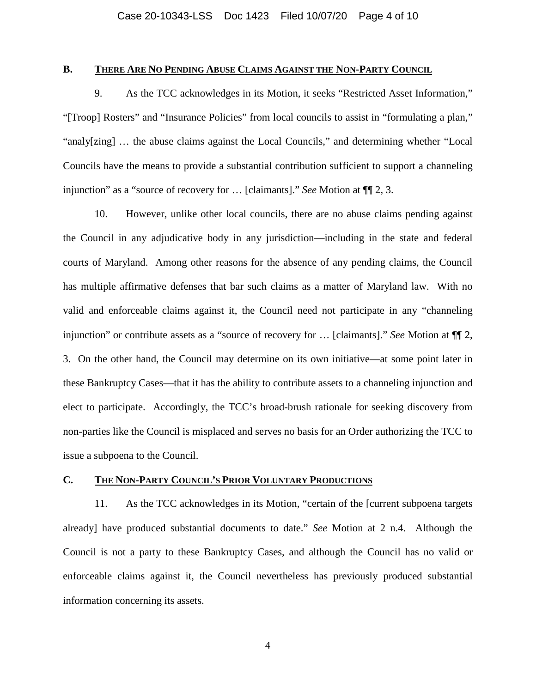## **B. THERE ARE NO PENDING ABUSE CLAIMS AGAINST THE NON-PARTY COUNCIL**

9. As the TCC acknowledges in its Motion, it seeks "Restricted Asset Information," "[Troop] Rosters" and "Insurance Policies" from local councils to assist in "formulating a plan," "analy[zing] … the abuse claims against the Local Councils," and determining whether "Local Councils have the means to provide a substantial contribution sufficient to support a channeling injunction" as a "source of recovery for … [claimants]." *See* Motion at ¶¶ 2, 3.

10. However, unlike other local councils, there are no abuse claims pending against the Council in any adjudicative body in any jurisdiction—including in the state and federal courts of Maryland. Among other reasons for the absence of any pending claims, the Council has multiple affirmative defenses that bar such claims as a matter of Maryland law. With no valid and enforceable claims against it, the Council need not participate in any "channeling injunction" or contribute assets as a "source of recovery for … [claimants]." *See* Motion at ¶¶ 2, 3. On the other hand, the Council may determine on its own initiative—at some point later in these Bankruptcy Cases—that it has the ability to contribute assets to a channeling injunction and elect to participate. Accordingly, the TCC's broad-brush rationale for seeking discovery from non-parties like the Council is misplaced and serves no basis for an Order authorizing the TCC to issue a subpoena to the Council.

### **C. THE NON-PARTY COUNCIL'S PRIOR VOLUNTARY PRODUCTIONS**

11. As the TCC acknowledges in its Motion, "certain of the [current subpoena targets already] have produced substantial documents to date." *See* Motion at 2 n.4. Although the Council is not a party to these Bankruptcy Cases, and although the Council has no valid or enforceable claims against it, the Council nevertheless has previously produced substantial information concerning its assets.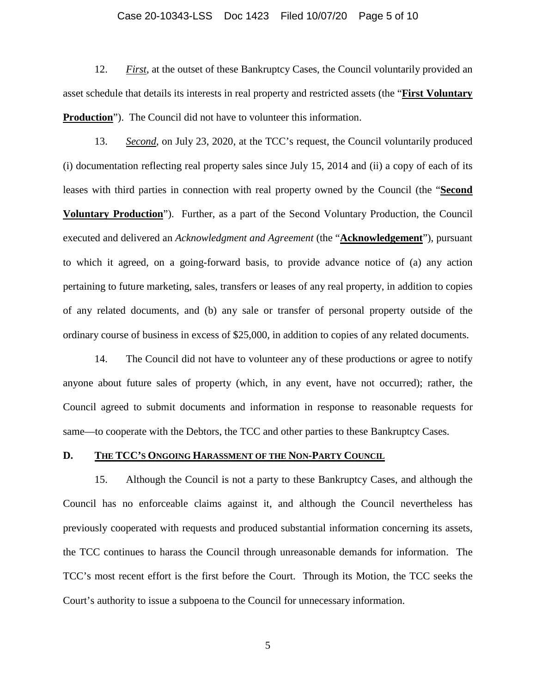### Case 20-10343-LSS Doc 1423 Filed 10/07/20 Page 5 of 10

12. *First*, at the outset of these Bankruptcy Cases, the Council voluntarily provided an asset schedule that details its interests in real property and restricted assets (the "**First Voluntary Production**"). The Council did not have to volunteer this information.

13. *Second*, on July 23, 2020, at the TCC's request, the Council voluntarily produced (i) documentation reflecting real property sales since July 15, 2014 and (ii) a copy of each of its leases with third parties in connection with real property owned by the Council (the "**Second Voluntary Production**"). Further, as a part of the Second Voluntary Production, the Council executed and delivered an *Acknowledgment and Agreement* (the "**Acknowledgement**"), pursuant to which it agreed, on a going-forward basis, to provide advance notice of (a) any action pertaining to future marketing, sales, transfers or leases of any real property, in addition to copies of any related documents, and (b) any sale or transfer of personal property outside of the ordinary course of business in excess of \$25,000, in addition to copies of any related documents.

14. The Council did not have to volunteer any of these productions or agree to notify anyone about future sales of property (which, in any event, have not occurred); rather, the Council agreed to submit documents and information in response to reasonable requests for same—to cooperate with the Debtors, the TCC and other parties to these Bankruptcy Cases.

### **D. THE TCC'S ONGOING HARASSMENT OF THE NON-PARTY COUNCIL**

15. Although the Council is not a party to these Bankruptcy Cases, and although the Council has no enforceable claims against it, and although the Council nevertheless has previously cooperated with requests and produced substantial information concerning its assets, the TCC continues to harass the Council through unreasonable demands for information. The TCC's most recent effort is the first before the Court. Through its Motion, the TCC seeks the Court's authority to issue a subpoena to the Council for unnecessary information.

5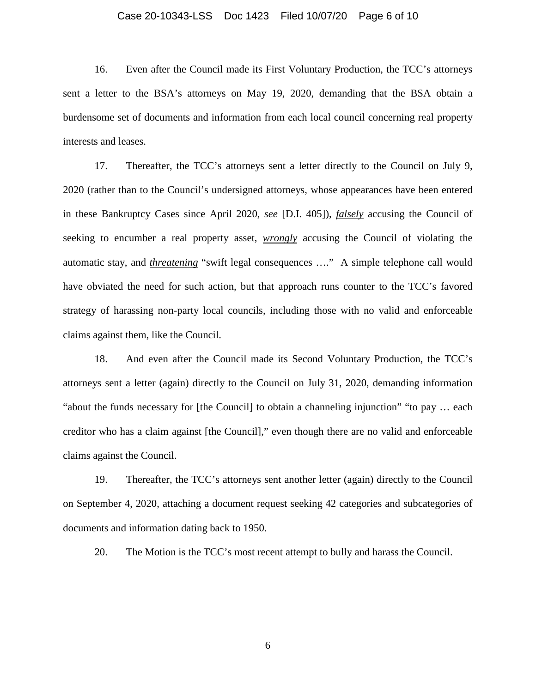### Case 20-10343-LSS Doc 1423 Filed 10/07/20 Page 6 of 10

16. Even after the Council made its First Voluntary Production, the TCC's attorneys sent a letter to the BSA's attorneys on May 19, 2020, demanding that the BSA obtain a burdensome set of documents and information from each local council concerning real property interests and leases.

17. Thereafter, the TCC's attorneys sent a letter directly to the Council on July 9, 2020 (rather than to the Council's undersigned attorneys, whose appearances have been entered in these Bankruptcy Cases since April 2020, *see* [D.I. 405]), *falsely* accusing the Council of seeking to encumber a real property asset, *wrongly* accusing the Council of violating the automatic stay, and *threatening* "swift legal consequences …." A simple telephone call would have obviated the need for such action, but that approach runs counter to the TCC's favored strategy of harassing non-party local councils, including those with no valid and enforceable claims against them, like the Council.

18. And even after the Council made its Second Voluntary Production, the TCC's attorneys sent a letter (again) directly to the Council on July 31, 2020, demanding information "about the funds necessary for [the Council] to obtain a channeling injunction" "to pay … each creditor who has a claim against [the Council]," even though there are no valid and enforceable claims against the Council.

19. Thereafter, the TCC's attorneys sent another letter (again) directly to the Council on September 4, 2020, attaching a document request seeking 42 categories and subcategories of documents and information dating back to 1950.

20. The Motion is the TCC's most recent attempt to bully and harass the Council.

6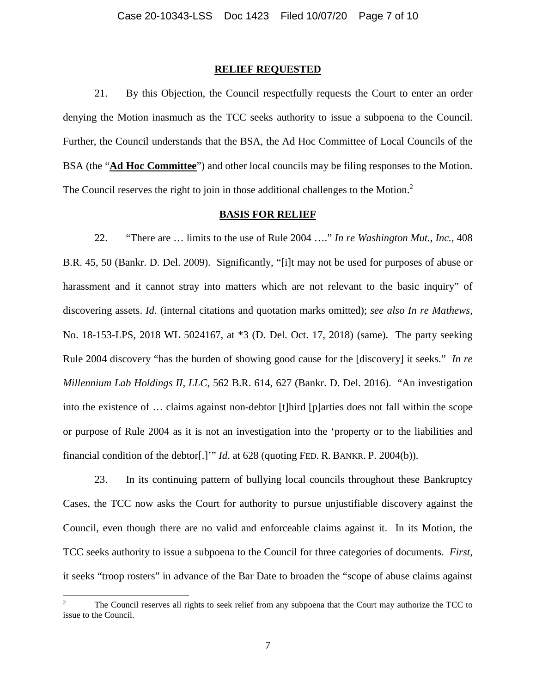#### **RELIEF REQUESTED**

21. By this Objection, the Council respectfully requests the Court to enter an order denying the Motion inasmuch as the TCC seeks authority to issue a subpoena to the Council. Further, the Council understands that the BSA, the Ad Hoc Committee of Local Councils of the BSA (the "**Ad Hoc Committee**") and other local councils may be filing responses to the Motion. The Council reserves the right to join in those additional challenges to the Motion.<sup>2</sup>

#### **BASIS FOR RELIEF**

22. "There are … limits to the use of Rule 2004 …." *In re Washington Mut., Inc.*, 408 B.R. 45, 50 (Bankr. D. Del. 2009). Significantly, "[i]t may not be used for purposes of abuse or harassment and it cannot stray into matters which are not relevant to the basic inquiry" of discovering assets. *Id*. (internal citations and quotation marks omitted); *see also In re Mathews*, No. 18-153-LPS, 2018 WL 5024167, at \*3 (D. Del. Oct. 17, 2018) (same). The party seeking Rule 2004 discovery "has the burden of showing good cause for the [discovery] it seeks." *In re Millennium Lab Holdings II, LLC*, 562 B.R. 614, 627 (Bankr. D. Del. 2016). "An investigation into the existence of … claims against non-debtor [t]hird [p]arties does not fall within the scope or purpose of Rule 2004 as it is not an investigation into the 'property or to the liabilities and financial condition of the debtor[.]'" *Id*. at 628 (quoting FED. R. BANKR. P. 2004(b)).

23. In its continuing pattern of bullying local councils throughout these Bankruptcy Cases, the TCC now asks the Court for authority to pursue unjustifiable discovery against the Council, even though there are no valid and enforceable claims against it. In its Motion, the TCC seeks authority to issue a subpoena to the Council for three categories of documents. *First*, it seeks "troop rosters" in advance of the Bar Date to broaden the "scope of abuse claims against

<sup>&</sup>lt;sup>2</sup> The Council reserves all rights to seek relief from any subpoena that the Court may authorize the TCC to issue to the Council.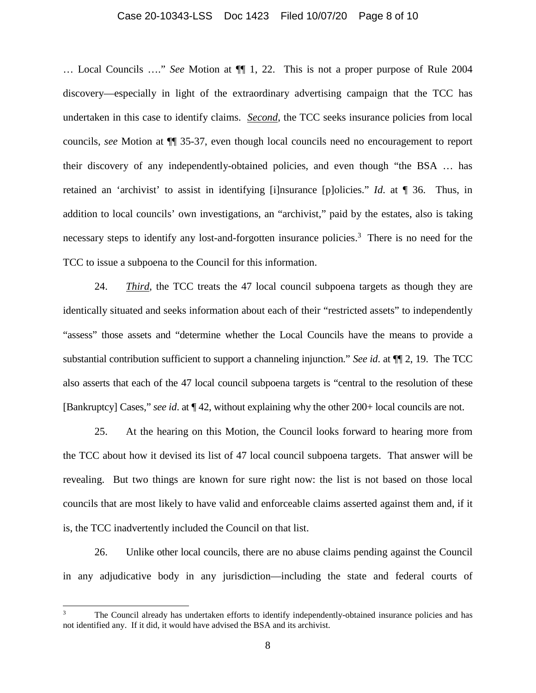### Case 20-10343-LSS Doc 1423 Filed 10/07/20 Page 8 of 10

… Local Councils …." *See* Motion at ¶¶ 1, 22. This is not a proper purpose of Rule 2004 discovery—especially in light of the extraordinary advertising campaign that the TCC has undertaken in this case to identify claims. *Second*, the TCC seeks insurance policies from local councils, *see* Motion at ¶¶ 35-37, even though local councils need no encouragement to report their discovery of any independently-obtained policies, and even though "the BSA … has retained an 'archivist' to assist in identifying [i]nsurance [p]olicies." *Id*. at ¶ 36. Thus, in addition to local councils' own investigations, an "archivist," paid by the estates, also is taking necessary steps to identify any lost-and-forgotten insurance policies.<sup>3</sup> There is no need for the TCC to issue a subpoena to the Council for this information.

24. *Third*, the TCC treats the 47 local council subpoena targets as though they are identically situated and seeks information about each of their "restricted assets" to independently "assess" those assets and "determine whether the Local Councils have the means to provide a substantial contribution sufficient to support a channeling injunction." *See id*. at ¶¶ 2, 19. The TCC also asserts that each of the 47 local council subpoena targets is "central to the resolution of these [Bankruptcy] Cases," *see id*. at ¶ 42, without explaining why the other 200+ local councils are not.

25. At the hearing on this Motion, the Council looks forward to hearing more from the TCC about how it devised its list of 47 local council subpoena targets. That answer will be revealing. But two things are known for sure right now: the list is not based on those local councils that are most likely to have valid and enforceable claims asserted against them and, if it is, the TCC inadvertently included the Council on that list.

26. Unlike other local councils, there are no abuse claims pending against the Council in any adjudicative body in any jurisdiction—including the state and federal courts of

<sup>&</sup>lt;sup>3</sup> The Council already has undertaken efforts to identify independently-obtained insurance policies and has not identified any. If it did, it would have advised the BSA and its archivist.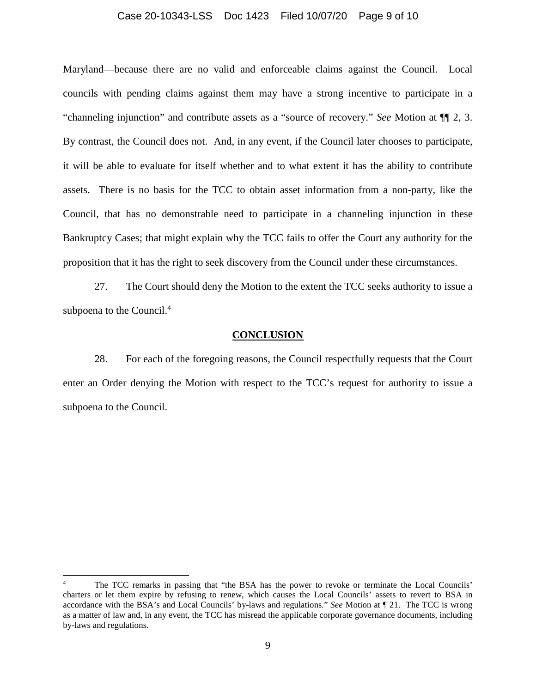## Case 20-10343-LSS Doc 1423 Filed 10/07/20 Page 9 of 10

Maryland—because there are no valid and enforceable claims against the Council. Local councils with pending claims against them may have a strong incentive to participate in a "channeling injunction" and contribute assets as a "source of recovery." *See* Motion at ¶¶ 2, 3. By contrast, the Council does not. And, in any event, if the Council later chooses to participate, it will be able to evaluate for itself whether and to what extent it has the ability to contribute assets. There is no basis for the TCC to obtain asset information from a non-party, like the Council, that has no demonstrable need to participate in a channeling injunction in these Bankruptcy Cases; that might explain why the TCC fails to offer the Court any authority for the proposition that it has the right to seek discovery from the Council under these circumstances.

27. The Court should deny the Motion to the extent the TCC seeks authority to issue a subpoena to the Council.<sup>4</sup>

#### **CONCLUSION**

28. For each of the foregoing reasons, the Council respectfully requests that the Court enter an Order denying the Motion with respect to the TCC's request for authority to issue a subpoena to the Council.

The TCC remarks in passing that "the BSA has the power to revoke or terminate the Local Councils' charters or let them expire by refusing to renew, which causes the Local Councils' assets to revert to BSA in accordance with the BSA's and Local Councils' by-laws and regulations." *See* Motion at ¶ 21. The TCC is wrong as a matter of law and, in any event, the TCC has misread the applicable corporate governance documents, including by-laws and regulations.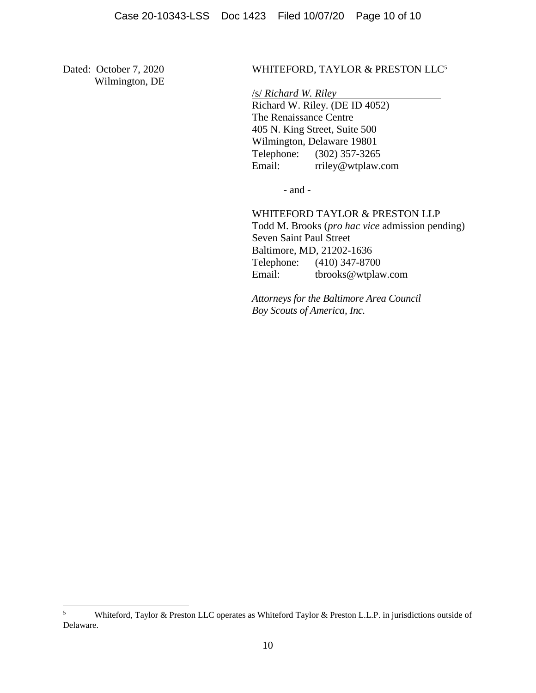Wilmington, DE

## Dated: October 7, 2020 WHITEFORD, TAYLOR & PRESTON LLC<sup>5</sup>

/s/ *Richard W. Riley*  Richard W. Riley. (DE ID 4052) The Renaissance Centre 405 N. King Street, Suite 500 Wilmington, Delaware 19801 Telephone: (302) 357-3265 Email: rriley@wtplaw.com

- and -

WHITEFORD TAYLOR & PRESTON LLP

Todd M. Brooks (*pro hac vice* admission pending) Seven Saint Paul Street Baltimore, MD, 21202-1636 Telephone: (410) 347-8700 Email: tbrooks@wtplaw.com

*Attorneys for the Baltimore Area Council Boy Scouts of America, Inc.* 

<sup>5</sup> Whiteford, Taylor & Preston LLC operates as Whiteford Taylor & Preston L.L.P. in jurisdictions outside of Delaware.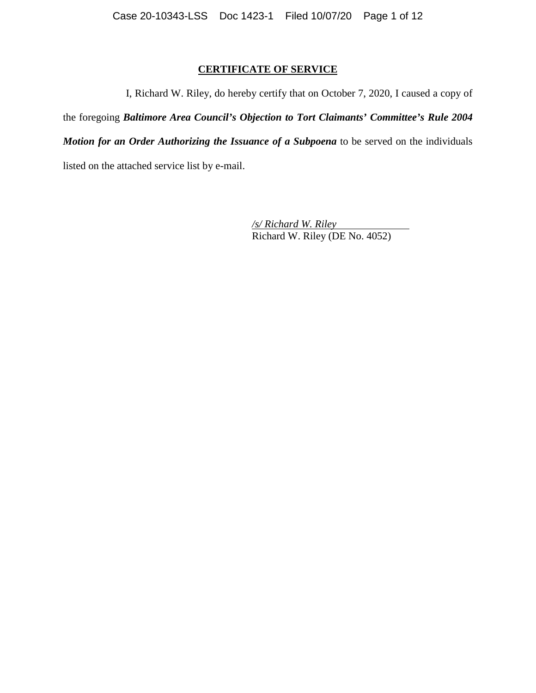# **CERTIFICATE OF SERVICE**

I, Richard W. Riley, do hereby certify that on October 7, 2020, I caused a copy of

the foregoing *Baltimore Area Council's Objection to Tort Claimants' Committee's Rule 2004 Motion for an Order Authorizing the Issuance of a Subpoena* to be served on the individuals listed on the attached service list by e-mail.

> */s/ Richard W. Riley*  Richard W. Riley (DE No. 4052)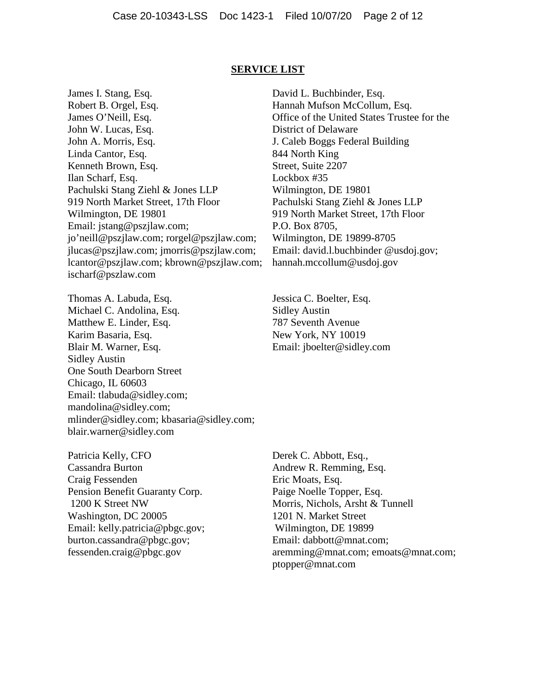#### **SERVICE LIST**

James I. Stang, Esq. Robert B. Orgel, Esq. James O'Neill, Esq. John W. Lucas, Esq. John A. Morris, Esq. Linda Cantor, Esq. Kenneth Brown, Esq. Ilan Scharf, Esq. Pachulski Stang Ziehl & Jones LLP 919 North Market Street, 17th Floor Wilmington, DE 19801 Email: jstang@pszjlaw.com; jo'neill@pszjlaw.com; rorgel@pszjlaw.com; jlucas@pszjlaw.com; jmorris@pszjlaw.com; lcantor@pszjlaw.com; kbrown@pszjlaw.com; ischarf@pszlaw.com

Thomas A. Labuda, Esq. Michael C. Andolina, Esq. Matthew E. Linder, Esq. Karim Basaria, Esq. Blair M. Warner, Esq. Sidley Austin One South Dearborn Street Chicago, IL 60603 Email: tlabuda@sidley.com; mandolina@sidley.com; mlinder@sidley.com; kbasaria@sidley.com; blair.warner@sidley.com

Patricia Kelly, CFO Cassandra Burton Craig Fessenden Pension Benefit Guaranty Corp. 1200 K Street NW Washington, DC 20005 Email: kelly.patricia@pbgc.gov; burton.cassandra@pbgc.gov; fessenden.craig@pbgc.gov

David L. Buchbinder, Esq. Hannah Mufson McCollum, Esq. Office of the United States Trustee for the District of Delaware J. Caleb Boggs Federal Building 844 North King Street, Suite 2207 Lockbox #35 Wilmington, DE 19801 Pachulski Stang Ziehl & Jones LLP 919 North Market Street, 17th Floor P.O. Box 8705, Wilmington, DE 19899-8705 Email: david.l.buchbinder @usdoj.gov; hannah.mccollum@usdoj.gov

Jessica C. Boelter, Esq. Sidley Austin 787 Seventh Avenue New York, NY 10019 Email: jboelter@sidley.com

Derek C. Abbott, Esq., Andrew R. Remming, Esq. Eric Moats, Esq. Paige Noelle Topper, Esq. Morris, Nichols, Arsht & Tunnell 1201 N. Market Street Wilmington, DE 19899 Email: dabbott@mnat.com; aremming@mnat.com; emoats@mnat.com; ptopper@mnat.com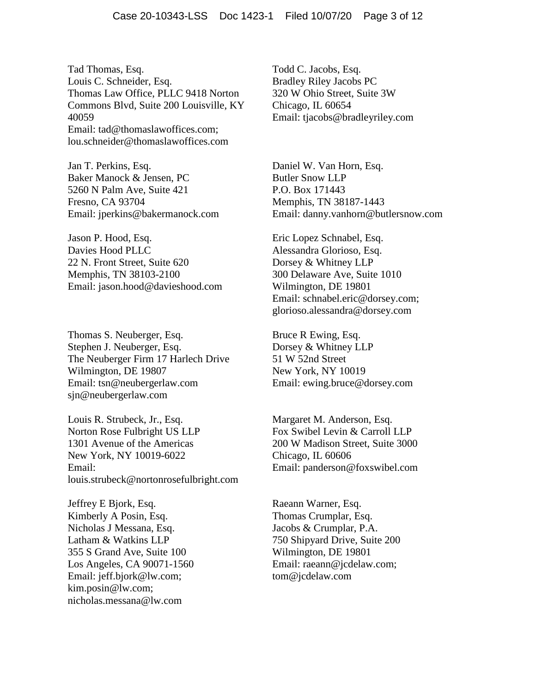Tad Thomas, Esq. Louis C. Schneider, Esq. Thomas Law Office, PLLC 9418 Norton Commons Blvd, Suite 200 Louisville, KY 40059 Email: tad@thomaslawoffices.com; lou.schneider@thomaslawoffices.com

Jan T. Perkins, Esq. Baker Manock & Jensen, PC 5260 N Palm Ave, Suite 421 Fresno, CA 93704 Email: jperkins@bakermanock.com

Jason P. Hood, Esq. Davies Hood PLLC 22 N. Front Street, Suite 620 Memphis, TN 38103-2100 Email: jason.hood@davieshood.com

Thomas S. Neuberger, Esq. Stephen J. Neuberger, Esq. The Neuberger Firm 17 Harlech Drive Wilmington, DE 19807 Email: tsn@neubergerlaw.com sjn@neubergerlaw.com

Louis R. Strubeck, Jr., Esq. Norton Rose Fulbright US LLP 1301 Avenue of the Americas New York, NY 10019-6022 Email: louis.strubeck@nortonrosefulbright.com

Jeffrey E Bjork, Esq. Kimberly A Posin, Esq. Nicholas J Messana, Esq. Latham & Watkins LLP 355 S Grand Ave, Suite 100 Los Angeles, CA 90071-1560 Email: jeff.bjork@lw.com; kim.posin@lw.com; nicholas.messana@lw.com

Todd C. Jacobs, Esq. Bradley Riley Jacobs PC 320 W Ohio Street, Suite 3W Chicago, IL 60654 Email: tjacobs@bradleyriley.com

Daniel W. Van Horn, Esq. Butler Snow LLP P.O. Box 171443 Memphis, TN 38187-1443 Email: danny.vanhorn@butlersnow.com

Eric Lopez Schnabel, Esq. Alessandra Glorioso, Esq. Dorsey & Whitney LLP 300 Delaware Ave, Suite 1010 Wilmington, DE 19801 Email: schnabel.eric@dorsey.com; glorioso.alessandra@dorsey.com

Bruce R Ewing, Esq. Dorsey & Whitney LLP 51 W 52nd Street New York, NY 10019 Email: ewing.bruce@dorsey.com

Margaret M. Anderson, Esq. Fox Swibel Levin & Carroll LLP 200 W Madison Street, Suite 3000 Chicago, IL 60606 Email: panderson@foxswibel.com

Raeann Warner, Esq. Thomas Crumplar, Esq. Jacobs & Crumplar, P.A. 750 Shipyard Drive, Suite 200 Wilmington, DE 19801 Email: raeann@jcdelaw.com; tom@jcdelaw.com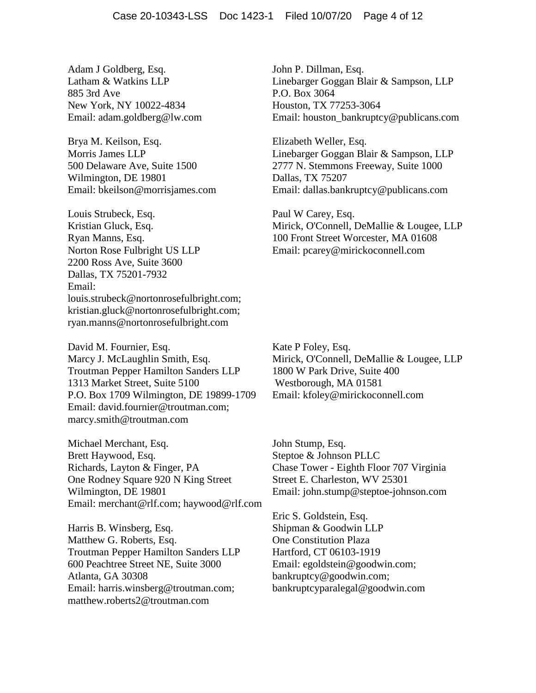Adam J Goldberg, Esq. Latham & Watkins LLP 885 3rd Ave New York, NY 10022-4834 Email: adam.goldberg@lw.com

Brya M. Keilson, Esq. Morris James LLP 500 Delaware Ave, Suite 1500 Wilmington, DE 19801 Email: bkeilson@morrisjames.com

Louis Strubeck, Esq. Kristian Gluck, Esq. Ryan Manns, Esq. Norton Rose Fulbright US LLP 2200 Ross Ave, Suite 3600 Dallas, TX 75201-7932 Email: louis.strubeck@nortonrosefulbright.com; kristian.gluck@nortonrosefulbright.com; ryan.manns@nortonrosefulbright.com

David M. Fournier, Esq. Marcy J. McLaughlin Smith, Esq. Troutman Pepper Hamilton Sanders LLP 1313 Market Street, Suite 5100 P.O. Box 1709 Wilmington, DE 19899-1709 Email: david.fournier@troutman.com; marcy.smith@troutman.com

Michael Merchant, Esq. Brett Haywood, Esq. Richards, Layton & Finger, PA One Rodney Square 920 N King Street Wilmington, DE 19801 Email: merchant@rlf.com; haywood@rlf.com

Harris B. Winsberg, Esq. Matthew G. Roberts, Esq. Troutman Pepper Hamilton Sanders LLP 600 Peachtree Street NE, Suite 3000 Atlanta, GA 30308 Email: harris.winsberg@troutman.com; matthew.roberts2@troutman.com

John P. Dillman, Esq. Linebarger Goggan Blair & Sampson, LLP P.O. Box 3064 Houston, TX 77253-3064 Email: houston\_bankruptcy@publicans.com

Elizabeth Weller, Esq. Linebarger Goggan Blair & Sampson, LLP 2777 N. Stemmons Freeway, Suite 1000 Dallas, TX 75207 Email: dallas.bankruptcy@publicans.com

Paul W Carey, Esq. Mirick, O'Connell, DeMallie & Lougee, LLP 100 Front Street Worcester, MA 01608 Email: pcarey@mirickoconnell.com

Kate P Foley, Esq. Mirick, O'Connell, DeMallie & Lougee, LLP 1800 W Park Drive, Suite 400 Westborough, MA 01581 Email: kfoley@mirickoconnell.com

John Stump, Esq. Steptoe & Johnson PLLC Chase Tower - Eighth Floor 707 Virginia Street E. Charleston, WV 25301 Email: john.stump@steptoe-johnson.com

Eric S. Goldstein, Esq. Shipman & Goodwin LLP One Constitution Plaza Hartford, CT 06103-1919 Email: egoldstein@goodwin.com; bankruptcy@goodwin.com; bankruptcyparalegal@goodwin.com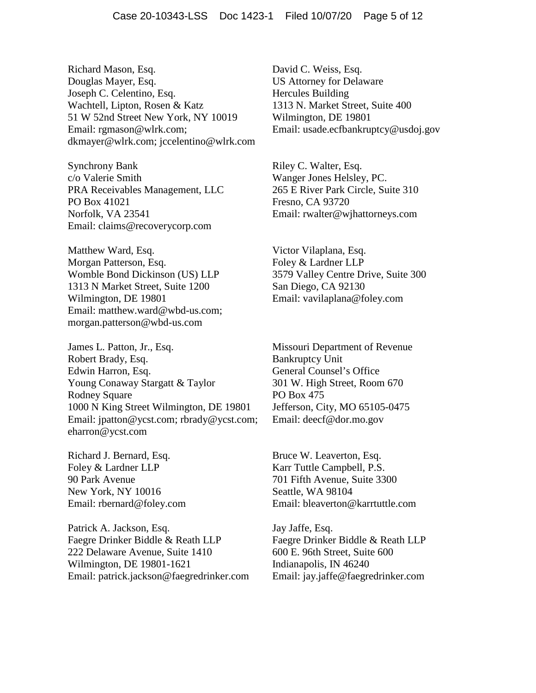Richard Mason, Esq. Douglas Mayer, Esq. Joseph C. Celentino, Esq. Wachtell, Lipton, Rosen & Katz 51 W 52nd Street New York, NY 10019 Email: rgmason@wlrk.com; dkmayer@wlrk.com; jccelentino@wlrk.com

Synchrony Bank c/o Valerie Smith PRA Receivables Management, LLC PO Box 41021 Norfolk, VA 23541 Email: claims@recoverycorp.com

Matthew Ward, Esq. Morgan Patterson, Esq. Womble Bond Dickinson (US) LLP 1313 N Market Street, Suite 1200 Wilmington, DE 19801 Email: matthew.ward@wbd-us.com; morgan.patterson@wbd-us.com

James L. Patton, Jr., Esq. Robert Brady, Esq. Edwin Harron, Esq. Young Conaway Stargatt & Taylor Rodney Square 1000 N King Street Wilmington, DE 19801 Email: jpatton@ycst.com; rbrady@ycst.com; eharron@ycst.com

Richard J. Bernard, Esq. Foley & Lardner LLP 90 Park Avenue New York, NY 10016 Email: rbernard@foley.com

Patrick A. Jackson, Esq. Faegre Drinker Biddle & Reath LLP 222 Delaware Avenue, Suite 1410 Wilmington, DE 19801-1621 Email: patrick.jackson@faegredrinker.com David C. Weiss, Esq. US Attorney for Delaware Hercules Building 1313 N. Market Street, Suite 400 Wilmington, DE 19801 Email: usade.ecfbankruptcy@usdoj.gov

Riley C. Walter, Esq. Wanger Jones Helsley, PC. 265 E River Park Circle, Suite 310 Fresno, CA 93720 Email: rwalter@wjhattorneys.com

Victor Vilaplana, Esq. Foley & Lardner LLP 3579 Valley Centre Drive, Suite 300 San Diego, CA 92130 Email: vavilaplana@foley.com

Missouri Department of Revenue Bankruptcy Unit General Counsel's Office 301 W. High Street, Room 670 PO Box 475 Jefferson, City, MO 65105-0475 Email: deecf@dor.mo.gov

Bruce W. Leaverton, Esq. Karr Tuttle Campbell, P.S. 701 Fifth Avenue, Suite 3300 Seattle, WA 98104 Email: bleaverton@karrtuttle.com

Jay Jaffe, Esq. Faegre Drinker Biddle & Reath LLP 600 E. 96th Street, Suite 600 Indianapolis, IN 46240 Email: jay.jaffe@faegredrinker.com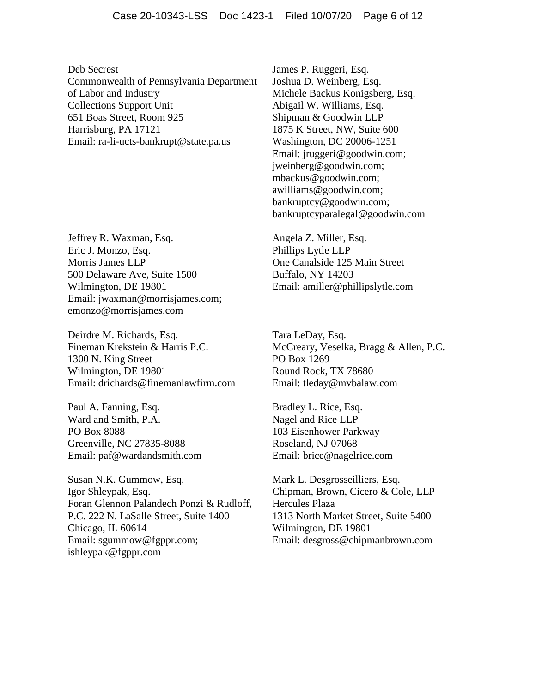Deb Secrest Commonwealth of Pennsylvania Department of Labor and Industry Collections Support Unit 651 Boas Street, Room 925 Harrisburg, PA 17121 Email: ra-li-ucts-bankrupt@state.pa.us

Jeffrey R. Waxman, Esq. Eric J. Monzo, Esq. Morris James LLP 500 Delaware Ave, Suite 1500 Wilmington, DE 19801 Email: jwaxman@morrisjames.com; emonzo@morrisjames.com

Deirdre M. Richards, Esq. Fineman Krekstein & Harris P.C. 1300 N. King Street Wilmington, DE 19801 Email: drichards@finemanlawfirm.com

Paul A. Fanning, Esq. Ward and Smith, P.A. PO Box 8088 Greenville, NC 27835-8088 Email: paf@wardandsmith.com

Susan N.K. Gummow, Esq. Igor Shleypak, Esq. Foran Glennon Palandech Ponzi & Rudloff, P.C. 222 N. LaSalle Street, Suite 1400 Chicago, IL 60614 Email: sgummow@fgppr.com; ishleypak@fgppr.com

James P. Ruggeri, Esq. Joshua D. Weinberg, Esq. Michele Backus Konigsberg, Esq. Abigail W. Williams, Esq. Shipman & Goodwin LLP 1875 K Street, NW, Suite 600 Washington, DC 20006-1251 Email: jruggeri@goodwin.com; jweinberg@goodwin.com; mbackus@goodwin.com; awilliams@goodwin.com; bankruptcy@goodwin.com; bankruptcyparalegal@goodwin.com

Angela Z. Miller, Esq. Phillips Lytle LLP One Canalside 125 Main Street Buffalo, NY 14203 Email: amiller@phillipslytle.com

Tara LeDay, Esq. McCreary, Veselka, Bragg & Allen, P.C. PO Box 1269 Round Rock, TX 78680 Email: tleday@mvbalaw.com

Bradley L. Rice, Esq. Nagel and Rice LLP 103 Eisenhower Parkway Roseland, NJ 07068 Email: brice@nagelrice.com

Mark L. Desgrosseilliers, Esq. Chipman, Brown, Cicero & Cole, LLP Hercules Plaza 1313 North Market Street, Suite 5400 Wilmington, DE 19801 Email: desgross@chipmanbrown.com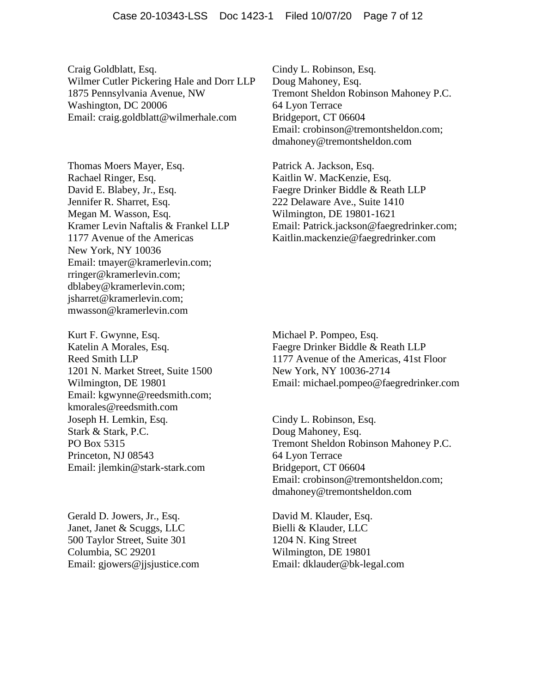Craig Goldblatt, Esq. Wilmer Cutler Pickering Hale and Dorr LLP 1875 Pennsylvania Avenue, NW Washington, DC 20006 Email: craig.goldblatt@wilmerhale.com

Thomas Moers Mayer, Esq. Rachael Ringer, Esq. David E. Blabey, Jr., Esq. Jennifer R. Sharret, Esq. Megan M. Wasson, Esq. Kramer Levin Naftalis & Frankel LLP 1177 Avenue of the Americas New York, NY 10036 Email: tmayer@kramerlevin.com; rringer@kramerlevin.com; dblabey@kramerlevin.com; jsharret@kramerlevin.com; mwasson@kramerlevin.com

Kurt F. Gwynne, Esq. Katelin A Morales, Esq. Reed Smith LLP 1201 N. Market Street, Suite 1500 Wilmington, DE 19801 Email: kgwynne@reedsmith.com; kmorales@reedsmith.com Joseph H. Lemkin, Esq. Stark & Stark, P.C. PO Box 5315 Princeton, NJ 08543 Email: jlemkin@stark-stark.com

Gerald D. Jowers, Jr., Esq. Janet, Janet & Scuggs, LLC 500 Taylor Street, Suite 301 Columbia, SC 29201 Email: gjowers@jjsjustice.com Cindy L. Robinson, Esq. Doug Mahoney, Esq. Tremont Sheldon Robinson Mahoney P.C. 64 Lyon Terrace Bridgeport, CT 06604 Email: crobinson@tremontsheldon.com; dmahoney@tremontsheldon.com

Patrick A. Jackson, Esq. Kaitlin W. MacKenzie, Esq. Faegre Drinker Biddle & Reath LLP 222 Delaware Ave., Suite 1410 Wilmington, DE 19801-1621 Email: Patrick.jackson@faegredrinker.com; Kaitlin.mackenzie@faegredrinker.com

Michael P. Pompeo, Esq. Faegre Drinker Biddle & Reath LLP 1177 Avenue of the Americas, 41st Floor New York, NY 10036-2714 Email: michael.pompeo@faegredrinker.com

Cindy L. Robinson, Esq. Doug Mahoney, Esq. Tremont Sheldon Robinson Mahoney P.C. 64 Lyon Terrace Bridgeport, CT 06604 Email: crobinson@tremontsheldon.com; dmahoney@tremontsheldon.com

David M. Klauder, Esq. Bielli & Klauder, LLC 1204 N. King Street Wilmington, DE 19801 Email: dklauder@bk-legal.com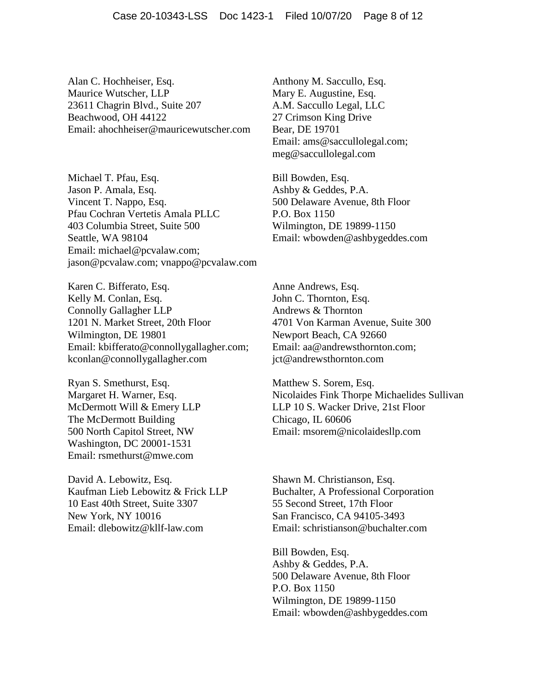Alan C. Hochheiser, Esq. Maurice Wutscher, LLP 23611 Chagrin Blvd., Suite 207 Beachwood, OH 44122 Email: ahochheiser@mauricewutscher.com

Michael T. Pfau, Esq. Jason P. Amala, Esq. Vincent T. Nappo, Esq. Pfau Cochran Vertetis Amala PLLC 403 Columbia Street, Suite 500 Seattle, WA 98104 Email: michael@pcvalaw.com; jason@pcvalaw.com; vnappo@pcvalaw.com

Karen C. Bifferato, Esq. Kelly M. Conlan, Esq. Connolly Gallagher LLP 1201 N. Market Street, 20th Floor Wilmington, DE 19801 Email: kbifferato@connollygallagher.com; kconlan@connollygallagher.com

Ryan S. Smethurst, Esq. Margaret H. Warner, Esq. McDermott Will & Emery LLP The McDermott Building 500 North Capitol Street, NW Washington, DC 20001-1531 Email: rsmethurst@mwe.com

David A. Lebowitz, Esq. Kaufman Lieb Lebowitz & Frick LLP 10 East 40th Street, Suite 3307 New York, NY 10016 Email: dlebowitz@kllf-law.com

Anthony M. Saccullo, Esq. Mary E. Augustine, Esq. A.M. Saccullo Legal, LLC 27 Crimson King Drive Bear, DE 19701 Email: ams@saccullolegal.com; meg@saccullolegal.com

Bill Bowden, Esq. Ashby & Geddes, P.A. 500 Delaware Avenue, 8th Floor P.O. Box 1150 Wilmington, DE 19899-1150 Email: wbowden@ashbygeddes.com

Anne Andrews, Esq. John C. Thornton, Esq. Andrews & Thornton 4701 Von Karman Avenue, Suite 300 Newport Beach, CA 92660 Email: aa@andrewsthornton.com; jct@andrewsthornton.com

Matthew S. Sorem, Esq. Nicolaides Fink Thorpe Michaelides Sullivan LLP 10 S. Wacker Drive, 21st Floor Chicago, IL 60606 Email: msorem@nicolaidesllp.com

Shawn M. Christianson, Esq. Buchalter, A Professional Corporation 55 Second Street, 17th Floor San Francisco, CA 94105-3493 Email: schristianson@buchalter.com

Bill Bowden, Esq. Ashby & Geddes, P.A. 500 Delaware Avenue, 8th Floor P.O. Box 1150 Wilmington, DE 19899-1150 Email: wbowden@ashbygeddes.com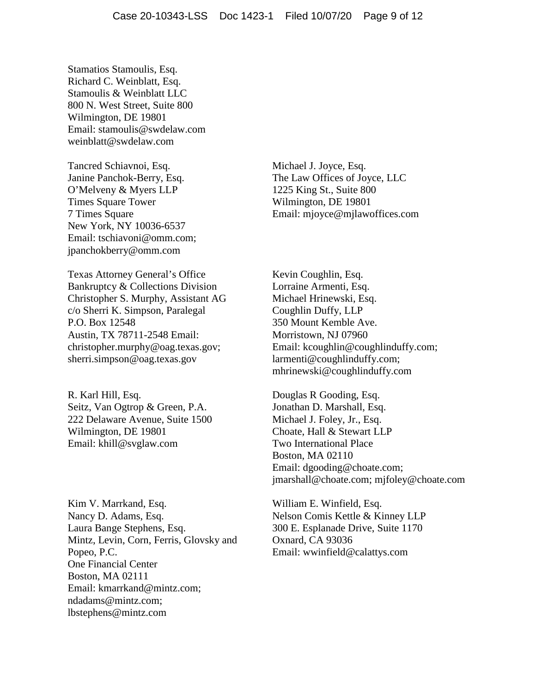Stamatios Stamoulis, Esq. Richard C. Weinblatt, Esq. Stamoulis & Weinblatt LLC 800 N. West Street, Suite 800 Wilmington, DE 19801 Email: stamoulis@swdelaw.com weinblatt@swdelaw.com

Tancred Schiavnoi, Esq. Janine Panchok-Berry, Esq. O'Melveny & Myers LLP Times Square Tower 7 Times Square New York, NY 10036-6537 Email: tschiavoni@omm.com; jpanchokberry@omm.com

Texas Attorney General's Office Bankruptcy & Collections Division Christopher S. Murphy, Assistant AG c/o Sherri K. Simpson, Paralegal P.O. Box 12548 Austin, TX 78711-2548 Email: christopher.murphy@oag.texas.gov; sherri.simpson@oag.texas.gov

R. Karl Hill, Esq. Seitz, Van Ogtrop & Green, P.A. 222 Delaware Avenue, Suite 1500 Wilmington, DE 19801 Email: khill@svglaw.com

Kim V. Marrkand, Esq. Nancy D. Adams, Esq. Laura Bange Stephens, Esq. Mintz, Levin, Corn, Ferris, Glovsky and Popeo, P.C. One Financial Center Boston, MA 02111 Email: kmarrkand@mintz.com; ndadams@mintz.com; lbstephens@mintz.com

Michael J. Joyce, Esq. The Law Offices of Joyce, LLC 1225 King St., Suite 800 Wilmington, DE 19801 Email: mjoyce@mjlawoffices.com

Kevin Coughlin, Esq. Lorraine Armenti, Esq. Michael Hrinewski, Esq. Coughlin Duffy, LLP 350 Mount Kemble Ave. Morristown, NJ 07960 Email: kcoughlin@coughlinduffy.com; larmenti@coughlinduffy.com; mhrinewski@coughlinduffy.com

Douglas R Gooding, Esq. Jonathan D. Marshall, Esq. Michael J. Foley, Jr., Esq. Choate, Hall & Stewart LLP Two International Place Boston, MA 02110 Email: dgooding@choate.com; jmarshall@choate.com; mjfoley@choate.com

William E. Winfield, Esq. Nelson Comis Kettle & Kinney LLP 300 E. Esplanade Drive, Suite 1170 Oxnard, CA 93036 Email: wwinfield@calattys.com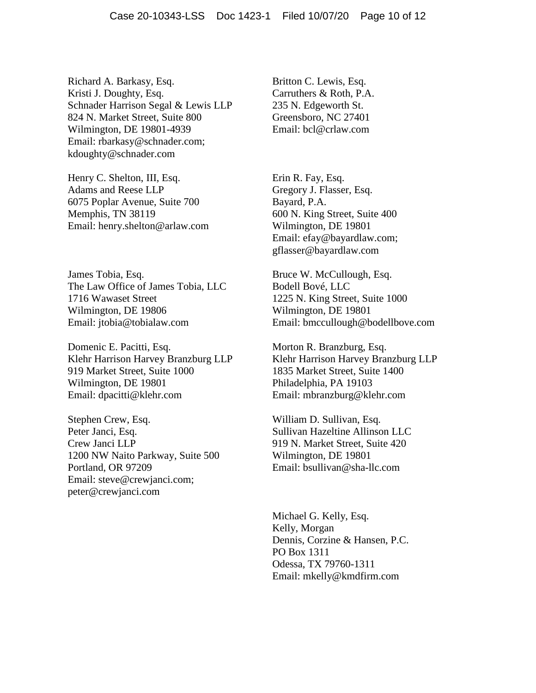Richard A. Barkasy, Esq. Kristi J. Doughty, Esq. Schnader Harrison Segal & Lewis LLP 824 N. Market Street, Suite 800 Wilmington, DE 19801-4939 Email: rbarkasy@schnader.com; kdoughty@schnader.com

Henry C. Shelton, III, Esq. Adams and Reese LLP 6075 Poplar Avenue, Suite 700 Memphis, TN 38119 Email: henry.shelton@arlaw.com

James Tobia, Esq. The Law Office of James Tobia, LLC 1716 Wawaset Street Wilmington, DE 19806 Email: jtobia@tobialaw.com

Domenic E. Pacitti, Esq. Klehr Harrison Harvey Branzburg LLP 919 Market Street, Suite 1000 Wilmington, DE 19801 Email: dpacitti@klehr.com

Stephen Crew, Esq. Peter Janci, Esq. Crew Janci LLP 1200 NW Naito Parkway, Suite 500 Portland, OR 97209 Email: steve@crewjanci.com; peter@crewjanci.com

Britton C. Lewis, Esq. Carruthers & Roth, P.A. 235 N. Edgeworth St. Greensboro, NC 27401 Email: bcl@crlaw.com

Erin R. Fay, Esq. Gregory J. Flasser, Esq. Bayard, P.A. 600 N. King Street, Suite 400 Wilmington, DE 19801 Email: efay@bayardlaw.com; gflasser@bayardlaw.com

Bruce W. McCullough, Esq. Bodell Bové, LLC 1225 N. King Street, Suite 1000 Wilmington, DE 19801 Email: bmccullough@bodellbove.com

Morton R. Branzburg, Esq. Klehr Harrison Harvey Branzburg LLP 1835 Market Street, Suite 1400 Philadelphia, PA 19103 Email: mbranzburg@klehr.com

William D. Sullivan, Esq. Sullivan Hazeltine Allinson LLC 919 N. Market Street, Suite 420 Wilmington, DE 19801 Email: bsullivan@sha-llc.com

Michael G. Kelly, Esq. Kelly, Morgan Dennis, Corzine & Hansen, P.C. PO Box 1311 Odessa, TX 79760-1311 Email: mkelly@kmdfirm.com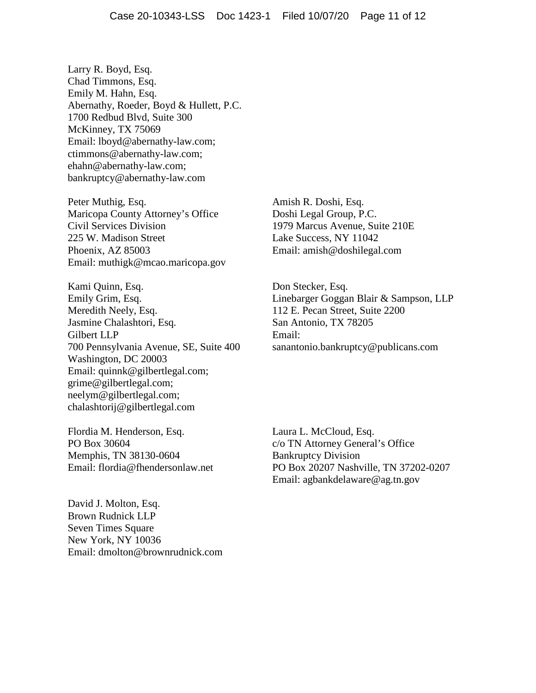Larry R. Boyd, Esq. Chad Timmons, Esq. Emily M. Hahn, Esq. Abernathy, Roeder, Boyd & Hullett, P.C. 1700 Redbud Blvd, Suite 300 McKinney, TX 75069 Email: lboyd@abernathy-law.com; ctimmons@abernathy-law.com; ehahn@abernathy-law.com; bankruptcy@abernathy-law.com

Peter Muthig, Esq. Maricopa County Attorney's Office Civil Services Division 225 W. Madison Street Phoenix, AZ 85003 Email: muthigk@mcao.maricopa.gov

Kami Quinn, Esq. Emily Grim, Esq. Meredith Neely, Esq. Jasmine Chalashtori, Esq. Gilbert LLP 700 Pennsylvania Avenue, SE, Suite 400 Washington, DC 20003 Email: quinnk@gilbertlegal.com; grime@gilbertlegal.com; neelym@gilbertlegal.com; chalashtorij@gilbertlegal.com

Flordia M. Henderson, Esq. PO Box 30604 Memphis, TN 38130-0604 Email: flordia@fhendersonlaw.net

David J. Molton, Esq. Brown Rudnick LLP Seven Times Square New York, NY 10036 Email: dmolton@brownrudnick.com

Amish R. Doshi, Esq. Doshi Legal Group, P.C. 1979 Marcus Avenue, Suite 210E Lake Success, NY 11042 Email: amish@doshilegal.com

Don Stecker, Esq. Linebarger Goggan Blair & Sampson, LLP 112 E. Pecan Street, Suite 2200 San Antonio, TX 78205 Email: sanantonio.bankruptcy@publicans.com

Laura L. McCloud, Esq. c/o TN Attorney General's Office Bankruptcy Division PO Box 20207 Nashville, TN 37202-0207 Email: agbankdelaware@ag.tn.gov